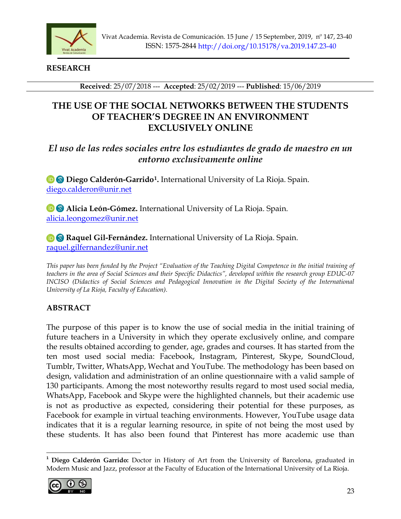

## **RESEARCH**

**Received**: 25/07/2018 --- **Accepted**: 25/02/2019 --- **Published**: 15/06/2019

# **THE USE OF THE SOCIAL NETWORKS BETWEEN THE STUDENTS OF TEACHER'S DEGREE IN AN ENVIRONMENT EXCLUSIVELY ONLINE**

*El uso de las redes sociales entre los estudiantes de grado de maestro en un entorno exclusivamente online*

**[2](http://orcid.org/0000-0002-2860-674) Diego Calderón-Garrido[1.](#page-0-0)** International University of La Rioja. Spain. [diego.calderon@unir.net](mailto:diego.calderon@unir.net)

**<b>•****Alicia León-Gómez.** International University of La Rioja. Spain. [alicia.leongomez@unir.net](mailto:alicia.leongomez@unir.net)

**<b><b>B****Raquel Gil-Fernández.** International University of La Rioja. Spain. [raquel.gilfernandez@unir.net](mailto:raquel.gilfernandez@unir.net)

*This paper has been funded by the Project "Evaluation of the Teaching Digital Competence in the initial training of teachers in the area of Social Sciences and their Specific Didactics", developed within the research group EDUC-07 INCISO (Didactics of Social Sciences and Pedagogical Innovation in the Digital Society of the International University of La Rioja, Faculty of Education).*

# **ABSTRACT**

The purpose of this paper is to know the use of social media in the initial training of future teachers in a University in which they operate exclusively online, and compare the results obtained according to gender, age, grades and courses. It has started from the ten most used social media: Facebook, Instagram, Pinterest, Skype, SoundCloud, Tumblr, Twitter, WhatsApp, Wechat and YouTube. The methodology has been based on design, validation and administration of an online questionnaire with a valid sample of 130 participants. Among the most noteworthy results regard to most used social media, WhatsApp, Facebook and Skype were the highlighted channels, but their academic use is not as productive as expected, considering their potential for these purposes, as Facebook for example in virtual teaching environments. However, YouTube usage data indicates that it is a regular learning resource, in spite of not being the most used by these students. It has also been found that Pinterest has more academic use than

<span id="page-0-0"></span>**<sup>1</sup> Diego Calderón Garrido:** Doctor in History of Art from the University of Barcelona, graduated in Modern Music and Jazz, professor at the Faculty of Education of the International University of La Rioja.

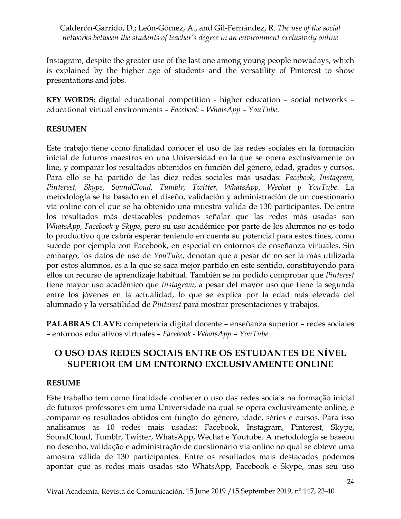Instagram, despite the greater use of the last one among young people nowadays, which is explained by the higher age of students and the versatility of Pinterest to show presentations and jobs.

**KEY WORDS:** digital educational competition - higher education – social networks – educational virtual environments – *Facebook* – *WhatsApp* – *YouTube.*

### **RESUMEN**

Este trabajo tiene como finalidad conocer el uso de las redes sociales en la formación inicial de futuros maestros en una Universidad en la que se opera exclusivamente on line, y comparar los resultados obtenidos en función del género, edad, grados y cursos. Para ello se ha partido de las diez redes sociales más usadas: *Facebook, Instagram, Pinterest, Skype, SoundCloud, Tumblr, Twitter, WhatsApp, Wechat y YouTube*. La metodología se ha basado en el diseño, validación y administración de un cuestionario vía online con el que se ha obtenido una muestra valida de 130 participantes. De entre los resultados más destacables podemos señalar que las redes más usadas son *WhatsApp, Facebook y Skype*, pero su uso académico por parte de los alumnos no es todo lo productivo que cabría esperar teniendo en cuenta su potencial para estos fines, como sucede por ejemplo con Facebook, en especial en entornos de enseñanza virtuales. Sin embargo, los datos de uso de *YouTube*, denotan que a pesar de no ser la más utilizada por estos alumnos, es a la que se saca mejor partido en este sentido, constituyendo para ellos un recurso de aprendizaje habitual. También se ha podido comprobar que *Pinterest* tiene mayor uso académico que *Instagram*, a pesar del mayor uso que tiene la segunda entre los jóvenes en la actualidad, lo que se explica por la edad más elevada del alumnado y la versatilidad de *Pinterest* para mostrar presentaciones y trabajos.

**PALABRAS CLAVE:** competencia digital docente – enseñanza superior – redes sociales – entornos educativos virtuales – *Facebook* - *WhatsApp* – *YouTube.*

# **O USO DAS REDES SOCIAIS ENTRE OS ESTUDANTES DE NÍVEL SUPERIOR EM UM ENTORNO EXCLUSIVAMENTE ONLINE**

### **RESUME**

Este trabalho tem como finalidade conhecer o uso das redes sociais na formação inicial de futuros professores em uma Universidade na qual se opera exclusivamente online, e comparar os resultados obtidos em função do gênero, idade, séries e cursos. Para isso analisamos as 10 redes mais usadas: Facebook, Instagram, Pinterest, Skype, SoundCloud, Tumblr, Twitter, WhatsApp, Wechat e Youtube. A metodologia se baseou no desenho, validação e administração de questionário via online no qual se obteve uma amostra válida de 130 participantes. Entre os resultados mais destacados podemos apontar que as redes mais usadas são WhatsApp, Facebook e Skype, mas seu uso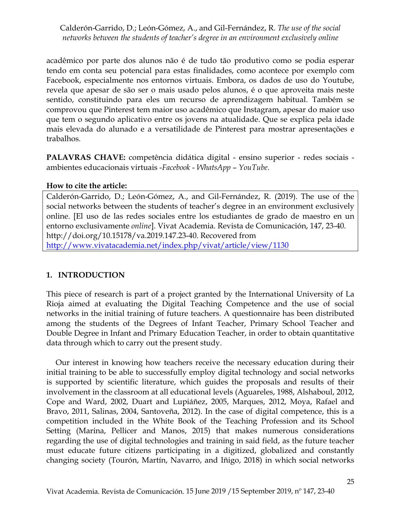acadêmico por parte dos alunos não é de tudo tão produtivo como se podia esperar tendo em conta seu potencial para estas finalidades, como acontece por exemplo com Facebook, especialmente nos entornos virtuais. Embora, os dados de uso do Youtube, revela que apesar de são ser o mais usado pelos alunos, é o que aproveita mais neste sentido, constituindo para eles um recurso de aprendizagem habitual. Também se comprovou que Pinterest tem maior uso acadêmico que Instagram, apesar do maior uso que tem o segundo aplicativo entre os jovens na atualidade. Que se explica pela idade mais elevada do alunado e a versatilidade de Pinterest para mostrar apresentações e trabalhos.

**PALAVRAS CHAVE:** competência didática digital - ensino superior - redes sociais ambientes educacionais virtuais -*Facebook* - *WhatsApp* – *YouTube.*

### **How to cite the article:**

Calderón-Garrido, D.; León-Gómez, A., and Gil-Fernández, R. (2019). The use of the social networks between the students of teacher's degree in an environment exclusively online. [El uso de las redes sociales entre los estudiantes de grado de maestro en un entorno exclusivamente *online*]. Vivat Academia. Revista de Comunicación, 147, 23-40. http://doi.org/10.15178/va.2019.147.23-40. Recovered from <http://www.vivatacademia.net/index.php/vivat/article/view/1130>

### **1. INTRODUCTION**

This piece of research is part of a project granted by the International University of La Rioja aimed at evaluating the Digital Teaching Competence and the use of social networks in the initial training of future teachers. A questionnaire has been distributed among the students of the Degrees of Infant Teacher, Primary School Teacher and Double Degree in Infant and Primary Education Teacher, in order to obtain quantitative data through which to carry out the present study.

Our interest in knowing how teachers receive the necessary education during their initial training to be able to successfully employ digital technology and social networks is supported by scientific literature, which guides the proposals and results of their involvement in the classroom at all educational levels (Aguareles, 1988, Alshaboul, 2012, Cope and Ward, 2002, Duart and Lupiáñez, 2005, Marques, 2012, Moya, Rafael and Bravo, 2011, Salinas, 2004, Santoveña, 2012). In the case of digital competence, this is a competition included in the White Book of the Teaching Profession and its School Setting (Marina, Pellicer and Manos, 2015) that makes numerous considerations regarding the use of digital technologies and training in said field, as the future teacher must educate future citizens participating in a digitized, globalized and constantly changing society (Tourón, Martín, Navarro, and Iñigo, 2018) in which social networks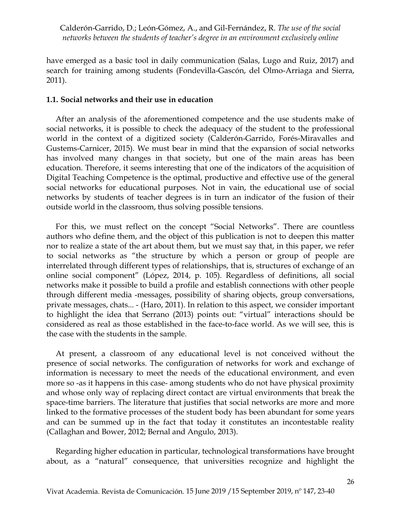have emerged as a basic tool in daily communication (Salas, Lugo and Ruiz, 2017) and search for training among students (Fondevilla-Gascón, del Olmo-Arriaga and Sierra, 2011).

### **1.1. Social networks and their use in education**

After an analysis of the aforementioned competence and the use students make of social networks, it is possible to check the adequacy of the student to the professional world in the context of a digitized society (Calderón-Garrido, Forés-Miravalles and Gustems-Carnicer, 2015). We must bear in mind that the expansion of social networks has involved many changes in that society, but one of the main areas has been education. Therefore, it seems interesting that one of the indicators of the acquisition of Digital Teaching Competence is the optimal, productive and effective use of the general social networks for educational purposes. Not in vain, the educational use of social networks by students of teacher degrees is in turn an indicator of the fusion of their outside world in the classroom, thus solving possible tensions.

For this, we must reflect on the concept "Social Networks". There are countless authors who define them, and the object of this publication is not to deepen this matter nor to realize a state of the art about them, but we must say that, in this paper, we refer to social networks as "the structure by which a person or group of people are interrelated through different types of relationships, that is, structures of exchange of an online social component" (López, 2014, p. 105). Regardless of definitions, all social networks make it possible to build a profile and establish connections with other people through different media -messages, possibility of sharing objects, group conversations, private messages, chats... - (Haro, 2011). In relation to this aspect, we consider important to highlight the idea that Serrano (2013) points out: "virtual" interactions should be considered as real as those established in the face-to-face world. As we will see, this is the case with the students in the sample.

At present, a classroom of any educational level is not conceived without the presence of social networks. The configuration of networks for work and exchange of information is necessary to meet the needs of the educational environment, and even more so -as it happens in this case- among students who do not have physical proximity and whose only way of replacing direct contact are virtual environments that break the space-time barriers. The literature that justifies that social networks are more and more linked to the formative processes of the student body has been abundant for some years and can be summed up in the fact that today it constitutes an incontestable reality (Callaghan and Bower, 2012; Bernal and Angulo, 2013).

Regarding higher education in particular, technological transformations have brought about, as a "natural" consequence, that universities recognize and highlight the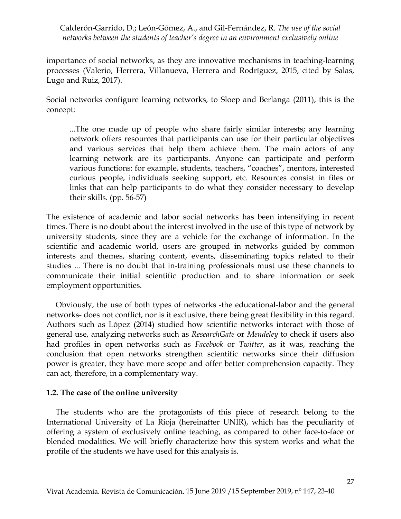importance of social networks, as they are innovative mechanisms in teaching-learning processes (Valerio, Herrera, Villanueva, Herrera and Rodríguez, 2015, cited by Salas, Lugo and Ruiz, 2017).

Social networks configure learning networks, to Sloep and Berlanga (2011), this is the concept:

...The one made up of people who share fairly similar interests; any learning network offers resources that participants can use for their particular objectives and various services that help them achieve them. The main actors of any learning network are its participants. Anyone can participate and perform various functions: for example, students, teachers, "coaches", mentors, interested curious people, individuals seeking support, etc. Resources consist in files or links that can help participants to do what they consider necessary to develop their skills. (pp. 56-57)

The existence of academic and labor social networks has been intensifying in recent times. There is no doubt about the interest involved in the use of this type of network by university students, since they are a vehicle for the exchange of information. In the scientific and academic world, users are grouped in networks guided by common interests and themes, sharing content, events, disseminating topics related to their studies ... There is no doubt that in-training professionals must use these channels to communicate their initial scientific production and to share information or seek employment opportunities.

Obviously, the use of both types of networks -the educational-labor and the general networks- does not conflict, nor is it exclusive, there being great flexibility in this regard. Authors such as López (2014) studied how scientific networks interact with those of general use, analyzing networks such as *ResearchGate* or *Mendeley* to check if users also had profiles in open networks such as *Facebook* or *Twitter*, as it was, reaching the conclusion that open networks strengthen scientific networks since their diffusion power is greater, they have more scope and offer better comprehension capacity. They can act, therefore, in a complementary way.

### **1.2. The case of the online university**

The students who are the protagonists of this piece of research belong to the International University of La Rioja (hereinafter UNIR), which has the peculiarity of offering a system of exclusively online teaching, as compared to other face-to-face or blended modalities. We will briefly characterize how this system works and what the profile of the students we have used for this analysis is.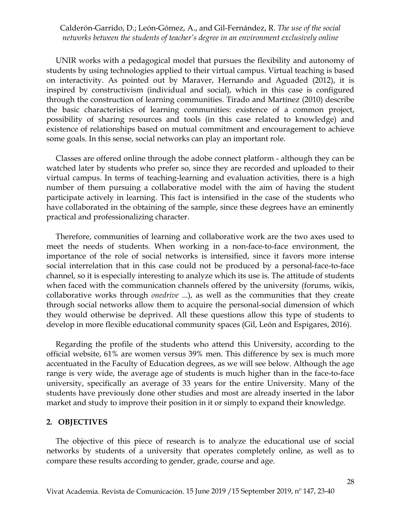UNIR works with a pedagogical model that pursues the flexibility and autonomy of students by using technologies applied to their virtual campus. Virtual teaching is based on interactivity. As pointed out by Maraver, Hernando and Aguaded (2012), it is inspired by constructivism (individual and social), which in this case is configured through the construction of learning communities. Tirado and Martínez (2010) describe the basic characteristics of learning communities: existence of a common project, possibility of sharing resources and tools (in this case related to knowledge) and existence of relationships based on mutual commitment and encouragement to achieve some goals. In this sense, social networks can play an important role.

Classes are offered online through the adobe connect platform - although they can be watched later by students who prefer so, since they are recorded and uploaded to their virtual campus. In terms of teaching-learning and evaluation activities, there is a high number of them pursuing a collaborative model with the aim of having the student participate actively in learning. This fact is intensified in the case of the students who have collaborated in the obtaining of the sample, since these degrees have an eminently practical and professionalizing character.

Therefore, communities of learning and collaborative work are the two axes used to meet the needs of students. When working in a non-face-to-face environment, the importance of the role of social networks is intensified, since it favors more intense social interrelation that in this case could not be produced by a personal-face-to-face channel, so it is especially interesting to analyze which its use is. The attitude of students when faced with the communication channels offered by the university (forums, wikis, collaborative works through *onedrive* ...), as well as the communities that they create through social networks allow them to acquire the personal-social dimension of which they would otherwise be deprived. All these questions allow this type of students to develop in more flexible educational community spaces (Gil, León and Espigares, 2016).

Regarding the profile of the students who attend this University, according to the official website, 61% are women versus 39% men. This difference by sex is much more accentuated in the Faculty of Education degrees, as we will see below. Although the age range is very wide, the average age of students is much higher than in the face-to-face university, specifically an average of 33 years for the entire University. Many of the students have previously done other studies and most are already inserted in the labor market and study to improve their position in it or simply to expand their knowledge.

#### **2. OBJECTIVES**

The objective of this piece of research is to analyze the educational use of social networks by students of a university that operates completely online, as well as to compare these results according to gender, grade, course and age.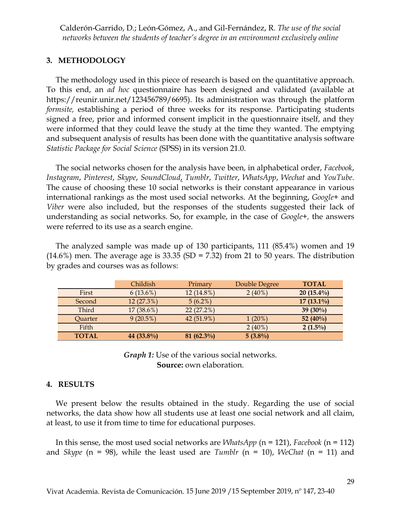#### **3. METHODOLOGY**

The methodology used in this piece of research is based on the quantitative approach. To this end, an *ad hoc* questionnaire has been designed and validated (available at https://reunir.unir.net/123456789/6695). Its administration was through the platform *formsite,* establishing a period of three weeks for its response. Participating students signed a free, prior and informed consent implicit in the questionnaire itself, and they were informed that they could leave the study at the time they wanted. The emptying and subsequent analysis of results has been done with the quantitative analysis software *Statistic Package for Social Science* (SPSS) in its version 21.0.

The social networks chosen for the analysis have been, in alphabetical order, *Facebook*, *Instagram*, *Pinterest*, *Skype*, *SoundCloud*, *Tumblr*, *Twitter*, *WhatsApp*, *Wechat* and *YouTube*. The cause of choosing these 10 social networks is their constant appearance in various international rankings as the most used social networks. At the beginning, *Google+* and *Viber* were also included, but the responses of the students suggested their lack of understanding as social networks. So, for example, in the case of *Google+,* the answers were referred to its use as a search engine.

The analyzed sample was made up of 130 participants, 111 (85.4%) women and 19  $(14.6\%)$  men. The average age is 33.35 (SD = 7.32) from 21 to 50 years. The distribution by grades and courses was as follows:

|              | Childish     | Primary      | Double Degree | <b>TOTAL</b> |
|--------------|--------------|--------------|---------------|--------------|
| First        | $6(13.6\%)$  | $12(14.8\%)$ | $2(40\%)$     | $20(15.4\%)$ |
| Second       | 12(27.3%)    | $5(6.2\%)$   |               | $17(13.1\%)$ |
| Third        | $17(38.6\%)$ | 22(27.2%)    |               | 39 $(30\%)$  |
| Quarter      | 9(20.5%)     | $42(51.9\%)$ | $1(20\%)$     | 52 $(40\%)$  |
| Fifth        |              |              | $2(40\%)$     | $2(1.5\%)$   |
| <b>TOTAL</b> | 44 (33.8%)   | 81 (62.3%)   | $5(3.8\%)$    |              |

| Graph 1: Use of the various social networks. |  |
|----------------------------------------------|--|
| <b>Source:</b> own elaboration.              |  |

#### **4. RESULTS**

We present below the results obtained in the study. Regarding the use of social networks, the data show how all students use at least one social network and all claim, at least, to use it from time to time for educational purposes.

In this sense, the most used social networks are *WhatsApp* (n = 121), *Facebook* (n = 112) and *Skype* (n = 98), while the least used are *Tumblr* (n = 10), *WeChat* (n = 11) and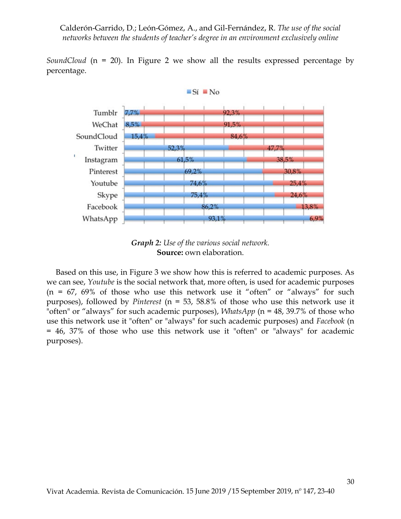*SoundCloud* (n = 20). In Figure 2 we show all the results expressed percentage by percentage.





Based on this use, in Figure 3 we show how this is referred to academic purposes. As we can see, *Youtube* is the social network that, more often, is used for academic purposes  $(n = 67, 69\%$  of those who use this network use it "often" or "always" for such purposes), followed by *Pinterest* (n = 53, 58.8% of those who use this network use it "often" or "always" for such academic purposes), *WhatsApp* (n = 48, 39.7% of those who use this network use it "often" or "always" for such academic purposes) and *Facebook* (n = 46, 37% of those who use this network use it "often" or "always" for academic purposes).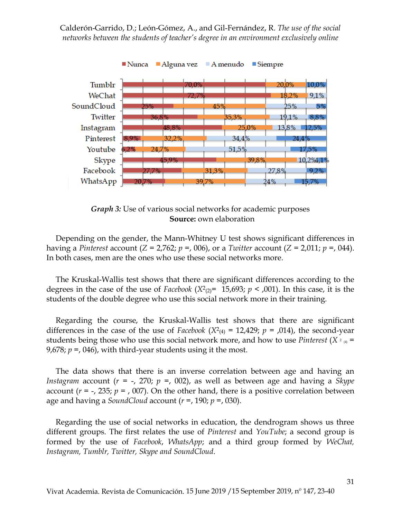

*Graph 3:* Use of various social networks for academic purposes **Source:** own elaboration

Depending on the gender, the Mann-Whitney U test shows significant differences in having a *Pinterest* account  $(Z = 2.762; p = 0.006)$ , or a *Twitter* account  $(Z = 2.011; p = 0.044)$ . In both cases, men are the ones who use these social networks more.

The Kruskal-Wallis test shows that there are significant differences according to the degrees in the case of the use of *Facebook* ( $X^2_{(2)}$ = 15,693;  $p <$ ,001). In this case, it is the students of the double degree who use this social network more in their training.

Regarding the course, the Kruskal-Wallis test shows that there are significant differences in the case of the use of *Facebook* ( $X^2$ <sub>(4)</sub> = 12,429;  $p = 0.014$ ), the second-year students being those who use this social network more, and how to use *Pinterest* ( $X \sim_{\mathfrak{q}_1}$  = 9,678;  $p =$ , 046), with third-year students using it the most.

The data shows that there is an inverse correlation between age and having an *Instagram* account (*r* = -, 270; *p* =, 002), as well as between age and having a *Skype* account  $(r = -1, 235; p = 0.007)$ . On the other hand, there is a positive correlation between age and having a *SoundCloud* account (*r* =, 190; *p* =, 030).

Regarding the use of social networks in education, the dendrogram shows us three different groups. The first relates the use of *Pinterest* and *YouTube*; a second group is formed by the use of *Facebook*, *WhatsApp*; and a third group formed by *WeChat, Instagram, Tumblr, Twitter, Skype and SoundCloud*.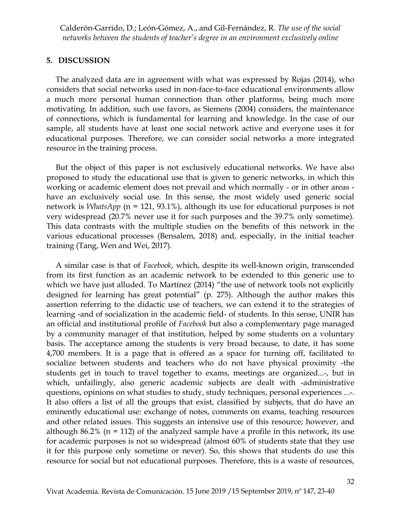#### **5. DISCUSSION**

The analyzed data are in agreement with what was expressed by Rojas (2014), who considers that social networks used in non-face-to-face educational environments allow a much more personal human connection than other platforms, being much more motivating. In addition, such use favors, as Siemens (2004) considers, the maintenance of connections, which is fundamental for learning and knowledge. In the case of our sample, all students have at least one social network active and everyone uses it for educational purposes. Therefore, we can consider social networks a more integrated resource in the training process.

But the object of this paper is not exclusively educational networks. We have also proposed to study the educational use that is given to generic networks, in which this working or academic element does not prevail and which normally - or in other areas have an exclusively social use. In this sense, the most widely used generic social network is *WhatsApp* (n = 121, 93.1%), although its use for educational purposes is not very widespread (20.7% never use it for such purposes and the 39.7% only sometime). This data contrasts with the multiple studies on the benefits of this network in the various educational processes (Bensalem, 2018) and, especially, in the initial teacher training (Tang, Wen and Wei, 2017).

A similar case is that of *Facebook*, which, despite its well-known origin, transcended from its first function as an academic network to be extended to this generic use to which we have just alluded. To Martínez (2014) "the use of network tools not explicitly designed for learning has great potential" (p. 275). Although the author makes this assertion referring to the didactic use of teachers, we can extend it to the strategies of learning -and of socialization in the academic field- of students. In this sense, UNIR has an official and institutional profile of *Facebook* but also a complementary page managed by a community manager of that institution, helped by some students on a voluntary basis. The acceptance among the students is very broad because, to date, it has some 4,700 members. It is a page that is offered as a space for turning off, facilitated to socialize between students and teachers who do not have physical proximity -the students get in touch to travel together to exams, meetings are organized...-, but in which, unfailingly, also generic academic subjects are dealt with -administrative questions, opinions on what studies to study, study techniques, personal experiences ...-. It also offers a list of all the groups that exist, classified by subjects, that do have an eminently educational use: exchange of notes, comments on exams, teaching resources and other related issues. This suggests an intensive use of this resource; however, and although 86.2% ( $n = 112$ ) of the analyzed sample have a profile in this network, its use for academic purposes is not so widespread (almost 60% of students state that they use it for this purpose only sometime or never). So, this shows that students do use this resource for social but not educational purposes. Therefore, this is a waste of resources,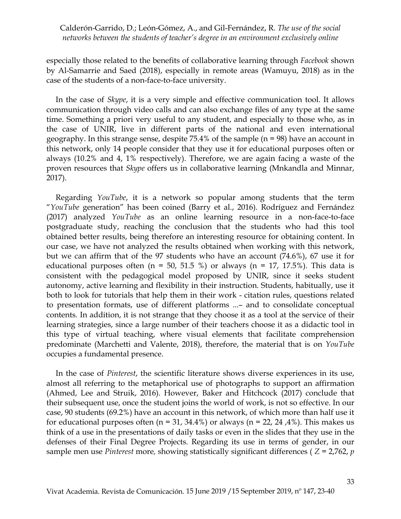especially those related to the benefits of collaborative learning through *Facebook* shown by Al-Samarrie and Saed (2018), especially in remote areas (Wamuyu, 2018) as in the case of the students of a non-face-to-face university.

In the case of *Skype*, it is a very simple and effective communication tool. It allows communication through video calls and can also exchange files of any type at the same time. Something a priori very useful to any student, and especially to those who, as in the case of UNIR, live in different parts of the national and even international geography. In this strange sense, despite 75.4% of the sample (n = 98) have an account in this network, only 14 people consider that they use it for educational purposes often or always (10.2% and 4, 1% respectively). Therefore, we are again facing a waste of the proven resources that *Skype* offers us in collaborative learning (Mnkandla and Minnar, 2017).

Regarding *YouTube*, it is a network so popular among students that the term "*YouTube* generation" has been coined (Barry et al., 2016). Rodríguez and Fernández (2017) analyzed *YouTube* as an online learning resource in a non-face-to-face postgraduate study, reaching the conclusion that the students who had this tool obtained better results, being therefore an interesting resource for obtaining content. In our case, we have not analyzed the results obtained when working with this network, but we can affirm that of the 97 students who have an account (74.6%), 67 use it for educational purposes often (n = 50, 51.5 %) or always (n = 17, 17.5%). This data is consistent with the pedagogical model proposed by UNIR, since it seeks student autonomy, active learning and flexibility in their instruction. Students, habitually, use it both to look for tutorials that help them in their work - citation rules, questions related to presentation formats, use of different platforms ...– and to consolidate conceptual contents. In addition, it is not strange that they choose it as a tool at the service of their learning strategies, since a large number of their teachers choose it as a didactic tool in this type of virtual teaching, where visual elements that facilitate comprehension predominate (Marchetti and Valente, 2018), therefore, the material that is on *YouTube* occupies a fundamental presence.

In the case of *Pinterest*, the scientific literature shows diverse experiences in its use, almost all referring to the metaphorical use of photographs to support an affirmation (Ahmed, Lee and Struik, 2016). However, Baker and Hitchcock (2017) conclude that their subsequent use, once the student joins the world of work, is not so effective. In our case, 90 students (69.2%) have an account in this network, of which more than half use it for educational purposes often ( $n = 31, 34.4\%$ ) or always ( $n = 22, 24, 4\%$ ). This makes us think of a use in the presentations of daily tasks or even in the slides that they use in the defenses of their Final Degree Projects. Regarding its use in terms of gender, in our sample men use *Pinterest* more*,* showing statistically significant differences ( *Z* = 2,762, *p*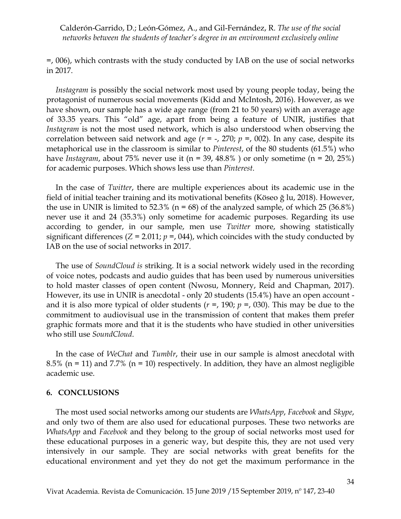=, 006), which contrasts with the study conducted by IAB on the use of social networks in 2017.

*Instagram* is possibly the social network most used by young people today, being the protagonist of numerous social movements (Kidd and McIntosh, 2016). However, as we have shown, our sample has a wide age range (from 21 to 50 years) with an average age of 33.35 years. This "old" age, apart from being a feature of UNIR, justifies that *Instagram* is not the most used network, which is also understood when observing the correlation between said network and age  $(r = -1, 270; p = 0.002)$ . In any case, despite its metaphorical use in the classroom is similar to *Pinterest*, of the 80 students (61.5%) who have *Instagram*, about 75% never use it (n = 39, 48.8% ) or only sometime (n = 20, 25%) for academic purposes. Which shows less use than *Pinterest*.

In the case of *Twitter*, there are multiple experiences about its academic use in the field of initial teacher training and its motivational benefits (Köseo ğ lu, 2018). However, the use in UNIR is limited to 52.3% ( $n = 68$ ) of the analyzed sample, of which 25 (36.8%) never use it and 24 (35.3%) only sometime for academic purposes. Regarding its use according to gender, in our sample, men use *Twitter* more, showing statistically significant differences ( $Z = 2.011$ ;  $p = 0.044$ ), which coincides with the study conducted by IAB on the use of social networks in 2017.

The use of *SoundCloud is* striking. It is a social network widely used in the recording of voice notes, podcasts and audio guides that has been used by numerous universities to hold master classes of open content (Nwosu, Monnery, Reid and Chapman, 2017). However, its use in UNIR is anecdotal - only 20 students (15.4%) have an open account and it is also more typical of older students ( $r =$ , 190;  $p =$ , 030). This may be due to the commitment to audiovisual use in the transmission of content that makes them prefer graphic formats more and that it is the students who have studied in other universities who still use *SoundCloud*.

In the case of *WeChat* and *Tumblr*, their use in our sample is almost anecdotal with 8.5% ( $n = 11$ ) and 7.7% ( $n = 10$ ) respectively. In addition, they have an almost negligible academic use.

#### **6. CONCLUSIONS**

The most used social networks among our students are *WhatsApp*, *Facebook* and *Skype*, and only two of them are also used for educational purposes. These two networks are *WhatsApp* and *Facebook* and they belong to the group of social networks most used for these educational purposes in a generic way, but despite this, they are not used very intensively in our sample. They are social networks with great benefits for the educational environment and yet they do not get the maximum performance in the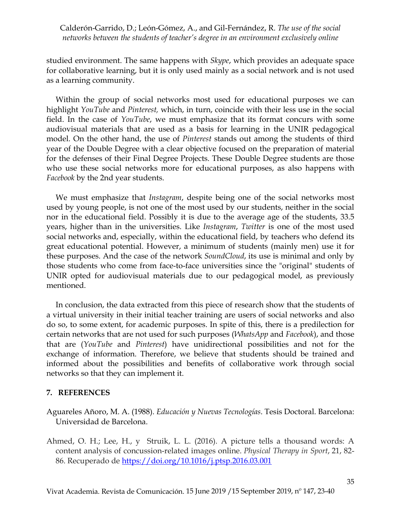studied environment. The same happens with *Skype*, which provides an adequate space for collaborative learning, but it is only used mainly as a social network and is not used as a learning community.

Within the group of social networks most used for educational purposes we can highlight *YouTube* and *Pinterest,* which, in turn, coincide with their less use in the social field. In the case of *YouTube*, we must emphasize that its format concurs with some audiovisual materials that are used as a basis for learning in the UNIR pedagogical model. On the other hand, the use of *Pinterest* stands out among the students of third year of the Double Degree with a clear objective focused on the preparation of material for the defenses of their Final Degree Projects. These Double Degree students are those who use these social networks more for educational purposes, as also happens with *Facebook* by the 2nd year students.

We must emphasize that *Instagram*, despite being one of the social networks most used by young people, is not one of the most used by our students, neither in the social nor in the educational field. Possibly it is due to the average age of the students, 33.5 years, higher than in the universities. Like *Instagram*, *Twitter* is one of the most used social networks and, especially, within the educational field, by teachers who defend its great educational potential. However, a minimum of students (mainly men) use it for these purposes. And the case of the network *SoundCloud*, its use is minimal and only by those students who come from face-to-face universities since the "original" students of UNIR opted for audiovisual materials due to our pedagogical model, as previously mentioned.

In conclusion, the data extracted from this piece of research show that the students of a virtual university in their initial teacher training are users of social networks and also do so, to some extent, for academic purposes. In spite of this, there is a predilection for certain networks that are not used for such purposes (*WhatsApp* and *Facebook*), and those that are (*YouTube* and *Pinterest*) have unidirectional possibilities and not for the exchange of information. Therefore, we believe that students should be trained and informed about the possibilities and benefits of collaborative work through social networks so that they can implement it.

### **7. REFERENCES**

- Aguareles Añoro, M. A. (1988). *Educación y Nuevas Tecnologías*. Tesis Doctoral. Barcelona: Universidad de Barcelona.
- Ahmed, O. H.; Lee, H., y Struik, L. L. (2016). A picture tells a thousand words: A content analysis of concussion-related images online. *Physical Therapy in Sport*, 21, 82- 86. Recuperado de<https://doi.org/10.1016/j.ptsp.2016.03.001>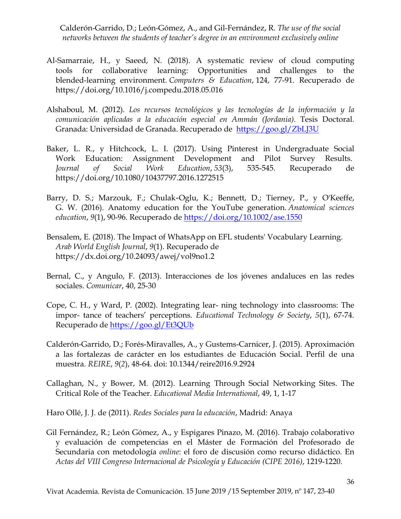- Al-Samarraie, H., y Saeed, N. (2018). A systematic review of cloud computing tools for collaborative learning: Opportunities and challenges to the blended-learning environment. *Computers & Education*, 124, 77-91. Recuperado de https://doi.org/10.1016/j.compedu.2018.05.016
- Alshaboul, M. (2012). *Los recursos tecnológicos y las tecnologías de la información y la comunicación aplicadas a la educación especial en Ammán (Jordania).* Tesis Doctoral. Granada: Universidad de Granada. Recuperado de <https://goo.gl/ZbLJ3U>
- Baker, L. R., y Hitchcock, L. I. (2017). Using Pinterest in Undergraduate Social Work Education: Assignment Development and Pilot Survey Results. *Journal of Social Work Education*, *53*(3), 535-545. Recuperado de https://doi.org/10.1080/10437797.2016.1272515
- Barry, D. S.; Marzouk, F.; Chulak-Oglu, K.; Bennett, D.; Tierney, P., y O'Keeffe, G. W. (2016). Anatomy education for the YouTube generation. *Anatomical sciences education*, *9*(1), 90-96. Recuperado de<https://doi.org/10.1002/ase.1550>
- Bensalem, E. (2018). The Impact of WhatsApp on EFL students' Vocabulary Learning. *Arab World English Journal*, *9*(1). Recuperado de https://dx.doi.org/10.24093/awej/vol9no1.2
- Bernal, C., y Angulo, F. (2013). Interacciones de los jóvenes andaluces en las redes sociales. *Comunicar*, 40, 25-30
- Cope, C. H., y Ward, P. (2002). Integrating lear- ning technology into classrooms: The impor- tance of teachers' perceptions. *Educational Technology & Society*, *5*(1), 67-74. Recuperado de<https://goo.gl/Et3QUb>
- Calderón-Garrido, D.; Forés-Miravalles, A., y Gustems-Carnicer, J. (2015). Aproximación a las fortalezas de carácter en los estudiantes de Educación Social. Perfil de una muestra. *REIRE*, *9*(*2*), 48-64. doi: 10.1344/reire2016.9.2924
- Callaghan, N., y Bower, M. (2012). Learning Through Social Networking Sites. The Critical Role of the Teacher. *Educational Media International*, 49, 1, 1-17

Haro Ollé, J. J. de (2011). *Redes Sociales para la educación*, Madrid: Anaya

Gil Fernández, R.; León Gómez, A., y Espigares Pinazo, M. (2016). Trabajo colaborativo y evaluación de competencias en el Máster de Formación del Profesorado de Secundaria con metodología *online*: el foro de discusión como recurso didáctico. En *Actas del VIII Congreso Internacional de Psicología y Educación (CIPE 2016)*, 1219-1220.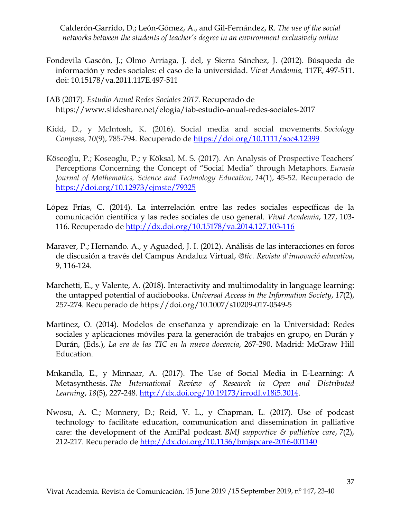- Fondevila Gascón, J.; Olmo Arriaga, J. del, y Sierra Sánchez, J. (2012). Búsqueda de información y redes sociales: el caso de la universidad. *Vivat Academia,* 117E, 497-511. doi: 10.15178/va.2011.117E.497-511
- IAB (2017). *Estudio Anual Redes Sociales 2017.* Recuperado de https://www.slideshare.net/elogia/iab-estudio-anual-redes-sociales-2017
- Kidd, D., y McIntosh, K. (2016). Social media and social movements. *Sociology Compass*, *10*(9), 785-794. Recuperado de<https://doi.org/10.1111/soc4.12399>
- Köseoğlu, P.; Koseoglu, P.; y Köksal, M. S. (2017). An Analysis of Prospective Teachers' Perceptions Concerning the Concept of "Social Media" through Metaphors. *Eurasia Journal of Mathematics, Science and Technology Education*, *14*(1), 45-52. Recuperado de <https://doi.org/10.12973/ejmste/79325>
- López Frías, C. (2014). La interrelación entre las redes sociales específicas de la comunicación científica y las redes sociales de uso general. *Vivat Academia*, 127, 103- 116. Recuperado de<http://dx.doi.org/10.15178/va.2014.127.103-116>
- Maraver, P.; Hernando. A., y Aguaded, J. I. (2012). Análisis de las interacciones en foros de discusión a través del Campus Andaluz Virtual, *@tic. Revista d'innovació educativa*, 9, 116-124.
- Marchetti, E., y Valente, A. (2018). Interactivity and multimodality in language learning: the untapped potential of audiobooks. *Universal Access in the Information Society*, *17*(2), 257-274. Recuperado de https://doi.org/10.1007/s10209-017-0549-5
- Martínez, O. (2014). Modelos de enseñanza y aprendizaje en la Universidad: Redes sociales y aplicaciones móviles para la generación de trabajos en grupo, en Durán y Durán, (Eds.), *La era de las TIC en la nueva docencia*, 267-290. Madrid: McGraw Hill Education.
- Mnkandla, E., y Minnaar, A. (2017). The Use of Social Media in E-Learning: A Metasynthesis. *The International Review of Research in Open and Distributed Learning*, *18*(5), 227-248. [http://dx.doi.org/10.19173/irrodl.v18i5.3014.](http://dx.doi.org/10.19173/irrodl.v18i5.3014)
- Nwosu, A. C.; Monnery, D.; Reid, V. L., y Chapman, L. (2017). Use of podcast technology to facilitate education, communication and dissemination in palliative care: the development of the AmiPal podcast. *BMJ supportive & palliative care*, *7*(2), 212-217. Recuperado de<http://dx.doi.org/10.1136/bmjspcare-2016-001140>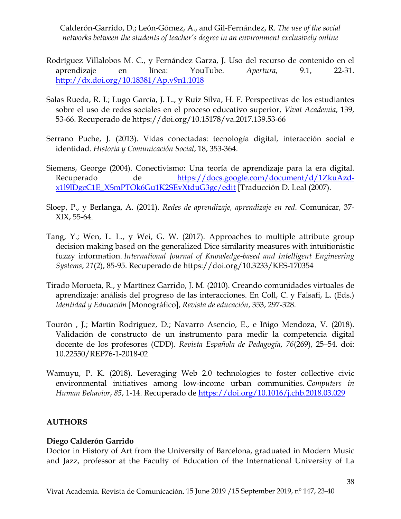- Rodríguez Villalobos M. C., y Fernández Garza, J. Uso del recurso de contenido en el aprendizaje en línea: YouTube. *Apertura*, 9.1, 22-31. <http://dx.doi.org/10.18381/Ap.v9n1.1018>
- Salas Rueda, R. I.; Lugo García, J. L., y Ruiz Silva, H. F. Perspectivas de los estudiantes sobre el uso de redes sociales en el proceso educativo superior, *Vivat Academia*, 139, 53-66. Recuperado de https://doi.org/10.15178/va.2017.139.53-66
- Serrano Puche, J. (2013). Vidas conectadas: tecnología digital, interacción social e identidad*. Historia y Comunicación Social*, 18, 353-364.
- Siemens, George (2004). Conectivismo: Una teoría de aprendizaje para la era digital. Recuperado de [https://docs.google.com/document/d/1ZkuAzd](https://docs.google.com/document/d/1ZkuAzd-x1l9lDgcC1E_XSmPTOk6Gu1K2SEvXtduG3gc/edit)[x1l9lDgcC1E\\_XSmPTOk6Gu1K2SEvXtduG3gc/edit](https://docs.google.com/document/d/1ZkuAzd-x1l9lDgcC1E_XSmPTOk6Gu1K2SEvXtduG3gc/edit) [Traducción D. Leal (2007).
- Sloep, P., y Berlanga, A. (2011). *Redes de aprendizaje, aprendizaje en red*. Comunicar, 37- XIX, 55-64.
- Tang, Y.; Wen, L. L., y Wei, G. W. (2017). Approaches to multiple attribute group decision making based on the generalized Dice similarity measures with intuitionistic fuzzy information. *International Journal of Knowledge-based and Intelligent Engineering Systems*, *21*(2), 85-95. Recuperado de https://doi.org/10.3233/KES-170354
- Tirado Morueta, R., y Martínez Garrido, J. M. (2010). Creando comunidades virtuales de aprendizaje: análisis del progreso de las interacciones. En Coll, C. y Falsafi, L. (Eds.) *Identidad y Educación* [Monográfico], *Revista de educación*, 353, 297-328.
- Tourón , J.; Martín Rodríguez, D.; Navarro Asencio, E., e Iñigo Mendoza, V. (2018). Validación de constructo de un instrumento para medir la competencia digital docente de los profesores (CDD). *Revista Española de Pedagogía*, *76*(269), 25–54. doi: 10.22550/REP76-1-2018-02
- Wamuyu, P. K. (2018). Leveraging Web 2.0 technologies to foster collective civic environmental initiatives among low-income urban communities. *Computers in Human Behavior*, *85*, 1-14. Recuperado de<https://doi.org/10.1016/j.chb.2018.03.029>

### **AUTHORS**

### **Diego Calderón Garrido**

Doctor in History of Art from the University of Barcelona, graduated in Modern Music and Jazz, professor at the Faculty of Education of the International University of La